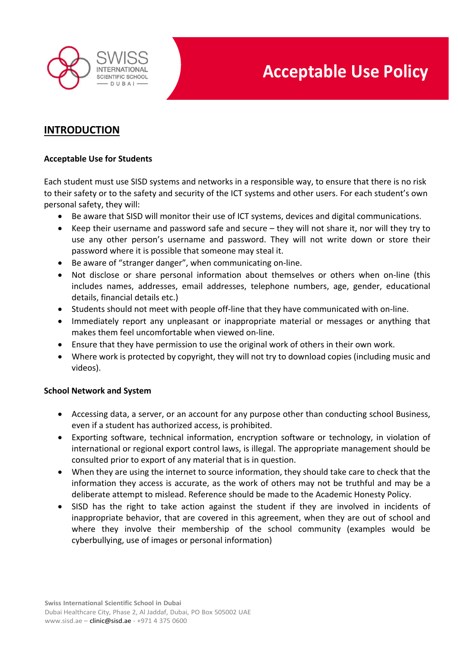

### **INTRODUCTION**

#### **Acceptable Use for Students**

Each student must use SISD systems and networks in a responsible way, to ensure that there is no risk to their safety or to the safety and security of the ICT systems and other users. For each student's own personal safety, they will:

- Be aware that SISD will monitor their use of ICT systems, devices and digital communications.
- Keep their username and password safe and secure they will not share it, nor will they try to use any other person's username and password. They will not write down or store their password where it is possible that someone may steal it.
- Be aware of "stranger danger", when communicating on-line.
- Not disclose or share personal information about themselves or others when on-line (this includes names, addresses, email addresses, telephone numbers, age, gender, educational details, financial details etc.)
- Students should not meet with people off-line that they have communicated with on-line.
- Immediately report any unpleasant or inappropriate material or messages or anything that makes them feel uncomfortable when viewed on-line.
- Ensure that they have permission to use the original work of others in their own work.
- Where work is protected by copyright, they will not try to download copies (including music and videos).

#### **School Network and System**

- Accessing data, a server, or an account for any purpose other than conducting school Business, even if a student has authorized access, is prohibited.
- Exporting software, technical information, encryption software or technology, in violation of international or regional export control laws, is illegal. The appropriate management should be consulted prior to export of any material that is in question.
- When they are using the internet to source information, they should take care to check that the information they access is accurate, as the work of others may not be truthful and may be a deliberate attempt to mislead. Reference should be made to the Academic Honesty Policy.
- SISD has the right to take action against the student if they are involved in incidents of inappropriate behavior, that are covered in this agreement, when they are out of school and where they involve their membership of the school community (examples would be cyberbullying, use of images or personal information)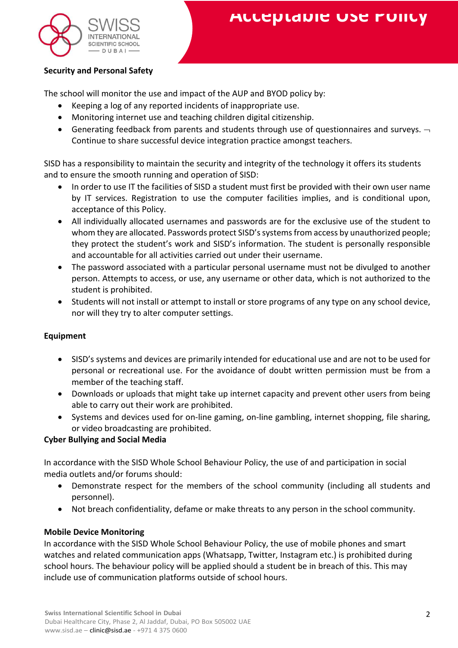

#### **Security and Personal Safety**

The school will monitor the use and impact of the AUP and BYOD policy by:

- Keeping a log of any reported incidents of inappropriate use.
- Monitoring internet use and teaching children digital citizenship.
- Generating feedback from parents and students through use of questionnaires and surveys.  $\neg$ Continue to share successful device integration practice amongst teachers.

SISD has a responsibility to maintain the security and integrity of the technology it offers its students and to ensure the smooth running and operation of SISD:

- In order to use IT the facilities of SISD a student must first be provided with their own user name by IT services. Registration to use the computer facilities implies, and is conditional upon, acceptance of this Policy.
- All individually allocated usernames and passwords are for the exclusive use of the student to whom they are allocated. Passwords protect SISD's systems from access by unauthorized people; they protect the student's work and SISD's information. The student is personally responsible and accountable for all activities carried out under their username.
- The password associated with a particular personal username must not be divulged to another person. Attempts to access, or use, any username or other data, which is not authorized to the student is prohibited.
- Students will not install or attempt to install or store programs of any type on any school device, nor will they try to alter computer settings.

#### **Equipment**

- SISD's systems and devices are primarily intended for educational use and are not to be used for personal or recreational use. For the avoidance of doubt written permission must be from a member of the teaching staff.
- Downloads or uploads that might take up internet capacity and prevent other users from being able to carry out their work are prohibited.
- Systems and devices used for on-line gaming, on-line gambling, internet shopping, file sharing, or video broadcasting are prohibited.

#### **Cyber Bullying and Social Media**

In accordance with the SISD Whole School Behaviour Policy, the use of and participation in social media outlets and/or forums should:

- Demonstrate respect for the members of the school community (including all students and personnel).
- Not breach confidentiality, defame or make threats to any person in the school community.

#### **Mobile Device Monitoring**

In accordance with the SISD Whole School Behaviour Policy, the use of mobile phones and smart watches and related communication apps (Whatsapp, Twitter, Instagram etc.) is prohibited during school hours. The behaviour policy will be applied should a student be in breach of this. This may include use of communication platforms outside of school hours.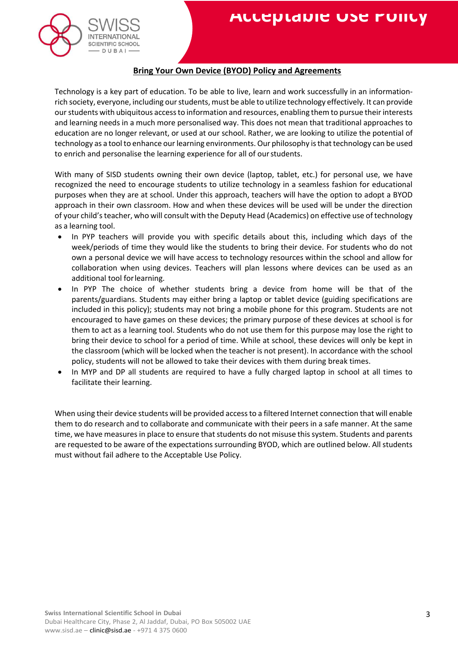

#### **Bring Your Own Device (BYOD) Policy and Agreements**

Technology is a key part of education. To be able to live, learn and work successfully in an informationrich society, everyone, including ourstudents, must be able to utilize technology effectively. It can provide our students with ubiquitous accessto information and resources, enabling them to pursue theirinterests and learning needs in a much more personalised way. This does not mean that traditional approaches to education are no longer relevant, or used at our school. Rather, we are looking to utilize the potential of technology as a tool to enhance our learning environments. Our philosophy is that technology can be used to enrich and personalise the learning experience for all of ourstudents.

With many of SISD students owning their own device (laptop, tablet, etc.) for personal use, we have recognized the need to encourage students to utilize technology in a seamless fashion for educational purposes when they are at school. Under this approach, teachers will have the option to adopt a BYOD approach in their own classroom. How and when these devices will be used will be under the direction of your child'steacher, who will consult with the Deputy Head (Academics) on effective use of technology as a learning tool.

- In PYP teachers will provide you with specific details about this, including which days of the week/periods of time they would like the students to bring their device. For students who do not own a personal device we will have access to technology resources within the school and allow for collaboration when using devices. Teachers will plan lessons where devices can be used as an additional tool forlearning.
- In PYP The choice of whether students bring a device from home will be that of the parents/guardians. Students may either bring a laptop or tablet device (guiding specifications are included in this policy); students may not bring a mobile phone for this program. Students are not encouraged to have games on these devices; the primary purpose of these devices at school is for them to act as a learning tool. Students who do not use them for this purpose may lose the right to bring their device to school for a period of time. While at school, these devices will only be kept in the classroom (which will be locked when the teacher is not present). In accordance with the school policy, students will not be allowed to take their devices with them during break times.
- In MYP and DP all students are required to have a fully charged laptop in school at all times to facilitate their learning.

When using their device students will be provided access to a filtered Internet connection that will enable them to do research and to collaborate and communicate with their peers in a safe manner. At the same time, we have measures in place to ensure that students do not misuse this system. Students and parents are requested to be aware of the expectations surrounding BYOD, which are outlined below. All students must without fail adhere to the Acceptable Use Policy.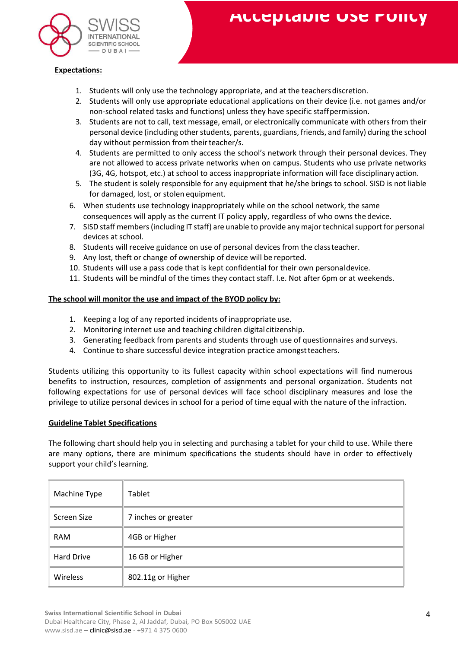

#### **Expectations:**

- 1. Students will only use the technology appropriate, and at the teachersdiscretion.
- 2. Students will only use appropriate educational applications on their device (i.e. not games and/or non-school related tasks and functions) unless they have specific staffpermission.
- 3. Students are not to call, text message, email, or electronically communicate with others from their personal device (including other students, parents, guardians, friends, and family) during the school day without permission from their teacher/s.
- 4. Students are permitted to only access the school's network through their personal devices. They are not allowed to access private networks when on campus. Students who use private networks (3G, 4G, hotspot, etc.) at school to access inappropriate information will face disciplinary action.
- 5. The student is solely responsible for any equipment that he/she brings to school. SISD is not liable for damaged, lost, or stolen equipment.
- 6. When students use technology inappropriately while on the school network, the same consequences will apply as the current IT policy apply, regardless of who owns the device.
- 7. SISD staff members (including IT staff) are unable to provide any major technical support for personal devices at school.
- 8. Students will receive guidance on use of personal devices from the classteacher.
- 9. Any lost, theft or change of ownership of device will be reported.
- 10. Students will use a pass code that is kept confidential for their own personaldevice.
- 11. Students will be mindful of the times they contact staff. I.e. Not after 6pm or at weekends.

#### **The school will monitor the use and impact of the BYOD policy by:**

- 1. Keeping a log of any reported incidents of inappropriate use.
- 2. Monitoring internet use and teaching children digital citizenship.
- 3. Generating feedback from parents and students through use of questionnaires andsurveys.
- 4. Continue to share successful device integration practice amongstteachers.

Students utilizing this opportunity to its fullest capacity within school expectations will find numerous benefits to instruction, resources, completion of assignments and personal organization. Students not following expectations for use of personal devices will face school disciplinary measures and lose the privilege to utilize personal devices in school for a period of time equal with the nature of the infraction.

#### **Guideline Tablet Specifications**

The following chart should help you in selecting and purchasing a tablet for your child to use. While there are many options, there are minimum specifications the students should have in order to effectively support your child's learning.

| Machine Type      | Tablet              |
|-------------------|---------------------|
| Screen Size       | 7 inches or greater |
| <b>RAM</b>        | 4GB or Higher       |
| <b>Hard Drive</b> | 16 GB or Higher     |
| Wireless          | 802.11g or Higher   |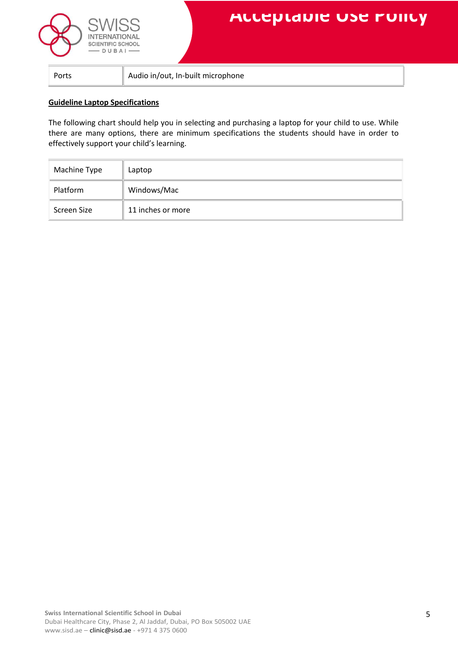



Ports **Audio in/out, In-built microphone** 

#### **Guideline Laptop Specifications**

The following chart should help you in selecting and purchasing a laptop for your child to use. While there are many options, there are minimum specifications the students should have in order to effectively support your child's learning.

| Machine Type | Laptop            |
|--------------|-------------------|
| Platform     | Windows/Mac       |
| Screen Size  | 11 inches or more |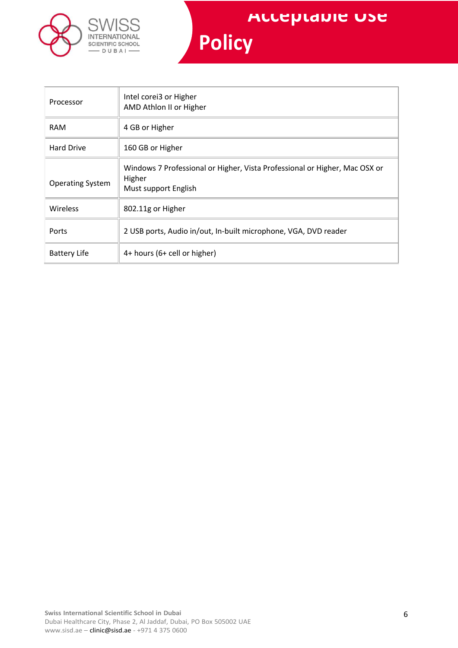

| Processor               | Intel corei3 or Higher<br>AMD Athlon II or Higher                                                            |
|-------------------------|--------------------------------------------------------------------------------------------------------------|
| <b>RAM</b>              | 4 GB or Higher                                                                                               |
| <b>Hard Drive</b>       | 160 GB or Higher                                                                                             |
| <b>Operating System</b> | Windows 7 Professional or Higher, Vista Professional or Higher, Mac OSX or<br>Higher<br>Must support English |
| <b>Wireless</b>         | 802.11g or Higher                                                                                            |
| Ports                   | 2 USB ports, Audio in/out, In-built microphone, VGA, DVD reader                                              |
| <b>Battery Life</b>     | 4+ hours (6+ cell or higher)                                                                                 |